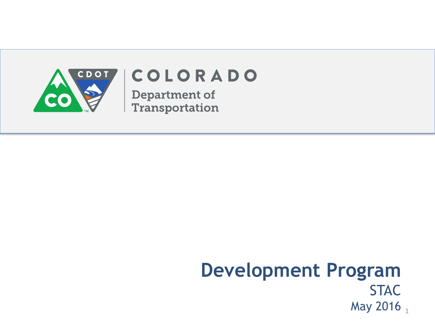

## COLORADO

**Department of** Transportation

#### **Development Program STAC** May 2016  $_1$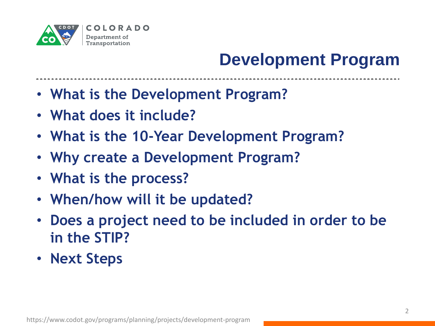

---------------

- **What is the Development Program?**
- **What does it include?**
- **What is the 10-Year Development Program?**
- **Why create a Development Program?**
- **What is the process?**
- **When/how will it be updated?**
- **Does a project need to be included in order to be in the STIP?**
- **Next Steps**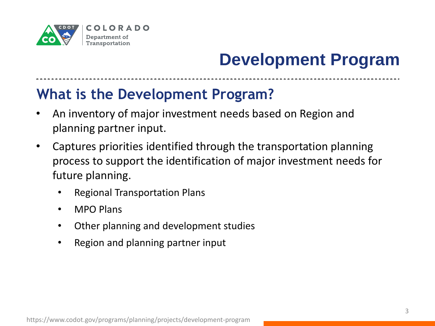

---------------

#### **What is the Development Program?**

- An inventory of major investment needs based on Region and planning partner input.
- Captures priorities identified through the transportation planning process to support the identification of major investment needs for future planning.
	- Regional Transportation Plans
	- MPO Plans
	- Other planning and development studies
	- Region and planning partner input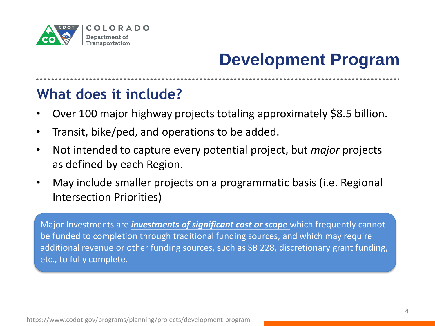

#### **What does it include?**

- Over 100 major highway projects totaling approximately \$8.5 billion.
- Transit, bike/ped, and operations to be added.
- Not intended to capture every potential project, but *major* projects as defined by each Region.
- May include smaller projects on a programmatic basis (i.e. Regional Intersection Priorities)

Major Investments are *investments of significant cost or scope* which frequently cannot be funded to completion through traditional funding sources, and which may require additional revenue or other funding sources, such as SB 228, discretionary grant funding, etc., to fully complete.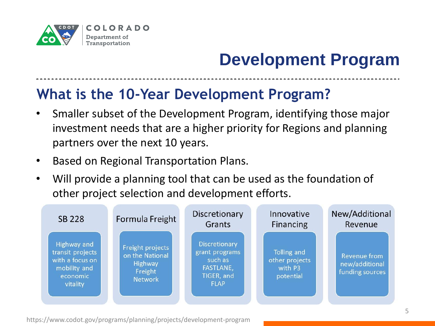

#### **What is the 10-Year Development Program?**

- Smaller subset of the Development Program, identifying those major investment needs that are a higher priority for Regions and planning partners over the next 10 years.
- Based on Regional Transportation Plans.
- Will provide a planning tool that can be used as the foundation of other project selection and development efforts.

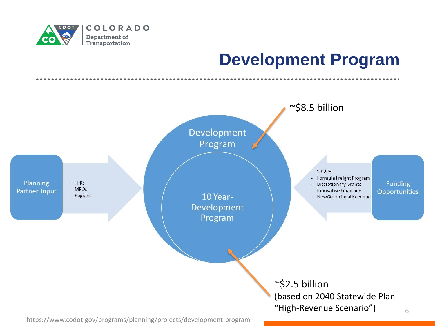

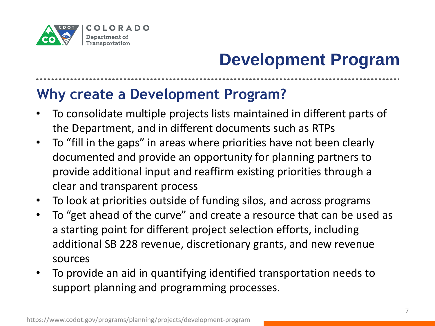

--------------

#### **Why create a Development Program?**

- To consolidate multiple projects lists maintained in different parts of the Department, and in different documents such as RTPs
- To "fill in the gaps" in areas where priorities have not been clearly documented and provide an opportunity for planning partners to provide additional input and reaffirm existing priorities through a clear and transparent process
- To look at priorities outside of funding silos, and across programs
- To "get ahead of the curve" and create a resource that can be used as a starting point for different project selection efforts, including additional SB 228 revenue, discretionary grants, and new revenue sources
- To provide an aid in quantifying identified transportation needs to support planning and programming processes.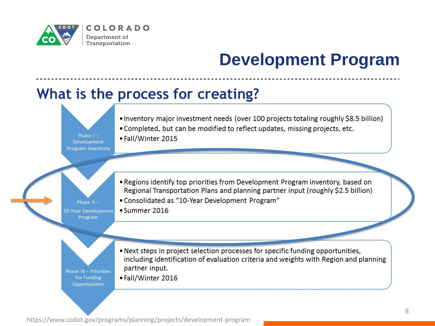

#### **What is the process for creating?**

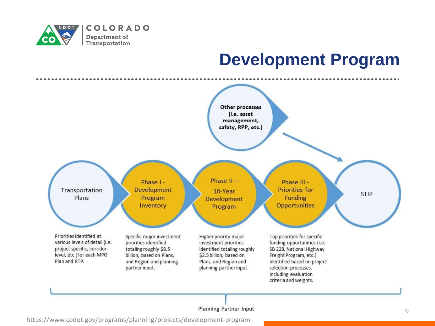



#### Planning Partner Input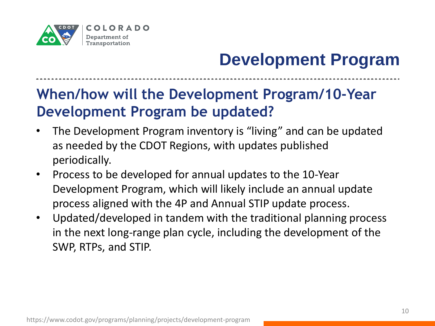

#### **When/how will the Development Program/10-Year Development Program be updated?**

- The Development Program inventory is "living" and can be updated as needed by the CDOT Regions, with updates published periodically.
- Process to be developed for annual updates to the 10-Year Development Program, which will likely include an annual update process aligned with the 4P and Annual STIP update process.
- Updated/developed in tandem with the traditional planning process in the next long-range plan cycle, including the development of the SWP, RTPs, and STIP.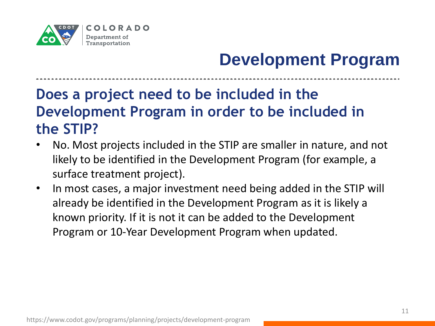

#### **Does a project need to be included in the Development Program in order to be included in the STIP?**

- No. Most projects included in the STIP are smaller in nature, and not likely to be identified in the Development Program (for example, a surface treatment project).
- In most cases, a major investment need being added in the STIP will already be identified in the Development Program as it is likely a known priority. If it is not it can be added to the Development Program or 10-Year Development Program when updated.